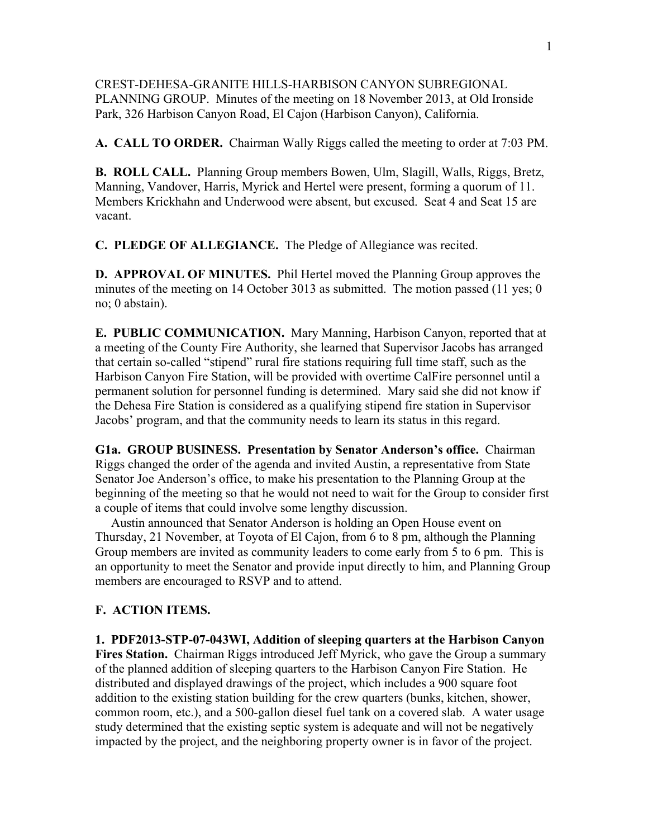CREST-DEHESA-GRANITE HILLS-HARBISON CANYON SUBREGIONAL PLANNING GROUP. Minutes of the meeting on 18 November 2013, at Old Ironside Park, 326 Harbison Canyon Road, El Cajon (Harbison Canyon), California.

**A. CALL TO ORDER.** Chairman Wally Riggs called the meeting to order at 7:03 PM.

**B. ROLL CALL.** Planning Group members Bowen, Ulm, Slagill, Walls, Riggs, Bretz, Manning, Vandover, Harris, Myrick and Hertel were present, forming a quorum of 11. Members Krickhahn and Underwood were absent, but excused. Seat 4 and Seat 15 are vacant.

**C. PLEDGE OF ALLEGIANCE.** The Pledge of Allegiance was recited.

**D. APPROVAL OF MINUTES.** Phil Hertel moved the Planning Group approves the minutes of the meeting on 14 October 3013 as submitted. The motion passed (11 yes; 0) no; 0 abstain).

**E. PUBLIC COMMUNICATION.** Mary Manning, Harbison Canyon, reported that at a meeting of the County Fire Authority, she learned that Supervisor Jacobs has arranged that certain so-called "stipend" rural fire stations requiring full time staff, such as the Harbison Canyon Fire Station, will be provided with overtime CalFire personnel until a permanent solution for personnel funding is determined. Mary said she did not know if the Dehesa Fire Station is considered as a qualifying stipend fire station in Supervisor Jacobs' program, and that the community needs to learn its status in this regard.

**G1a. GROUP BUSINESS. Presentation by Senator Anderson's office.** Chairman Riggs changed the order of the agenda and invited Austin, a representative from State Senator Joe Anderson's office, to make his presentation to the Planning Group at the beginning of the meeting so that he would not need to wait for the Group to consider first a couple of items that could involve some lengthy discussion.

 Austin announced that Senator Anderson is holding an Open House event on Thursday, 21 November, at Toyota of El Cajon, from 6 to 8 pm, although the Planning Group members are invited as community leaders to come early from 5 to 6 pm. This is an opportunity to meet the Senator and provide input directly to him, and Planning Group members are encouraged to RSVP and to attend.

## **F. ACTION ITEMS.**

**1. PDF2013-STP-07-043WI, Addition of sleeping quarters at the Harbison Canyon Fires Station.** Chairman Riggs introduced Jeff Myrick, who gave the Group a summary of the planned addition of sleeping quarters to the Harbison Canyon Fire Station. He distributed and displayed drawings of the project, which includes a 900 square foot addition to the existing station building for the crew quarters (bunks, kitchen, shower, common room, etc.), and a 500-gallon diesel fuel tank on a covered slab. A water usage study determined that the existing septic system is adequate and will not be negatively impacted by the project, and the neighboring property owner is in favor of the project.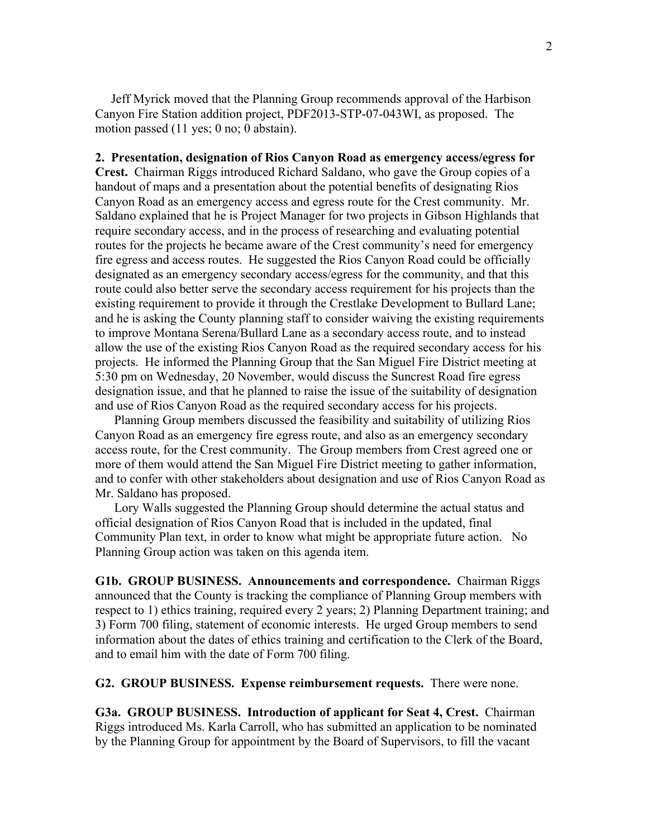Jeff Myrick moved that the Planning Group recommends approval of the Harbison Canyon Fire Station addition project, PDF2013-STP-07-043WI, as proposed. The motion passed (11 yes; 0 no; 0 abstain).

**2. Presentation, designation of Rios Canyon Road as emergency access/egress for Crest.** Chairman Riggs introduced Richard Saldano, who gave the Group copies of a handout of maps and a presentation about the potential benefits of designating Rios Canyon Road as an emergency access and egress route for the Crest community. Mr. Saldano explained that he is Project Manager for two projects in Gibson Highlands that require secondary access, and in the process of researching and evaluating potential routes for the projects he became aware of the Crest community's need for emergency fire egress and access routes. He suggested the Rios Canyon Road could be officially designated as an emergency secondary access/egress for the community, and that this route could also better serve the secondary access requirement for his projects than the existing requirement to provide it through the Crestlake Development to Bullard Lane; and he is asking the County planning staff to consider waiving the existing requirements to improve Montana Serena/Bullard Lane as a secondary access route, and to instead allow the use of the existing Rios Canyon Road as the required secondary access for his projects. He informed the Planning Group that the San Miguel Fire District meeting at 5:30 pm on Wednesday, 20 November, would discuss the Suncrest Road fire egress designation issue, and that he planned to raise the issue of the suitability of designation and use of Rios Canyon Road as the required secondary access for his projects.

 Planning Group members discussed the feasibility and suitability of utilizing Rios Canyon Road as an emergency fire egress route, and also as an emergency secondary access route, for the Crest community. The Group members from Crest agreed one or more of them would attend the San Miguel Fire District meeting to gather information, and to confer with other stakeholders about designation and use of Rios Canyon Road as Mr. Saldano has proposed.

 Lory Walls suggested the Planning Group should determine the actual status and official designation of Rios Canyon Road that is included in the updated, final Community Plan text, in order to know what might be appropriate future action. No Planning Group action was taken on this agenda item.

**G1b. GROUP BUSINESS. Announcements and correspondence.** Chairman Riggs announced that the County is tracking the compliance of Planning Group members with respect to 1) ethics training, required every 2 years; 2) Planning Department training; and 3) Form 700 filing, statement of economic interests. He urged Group members to send information about the dates of ethics training and certification to the Clerk of the Board, and to email him with the date of Form 700 filing.

**G2. GROUP BUSINESS. Expense reimbursement requests.** There were none.

**G3a. GROUP BUSINESS. Introduction of applicant for Seat 4, Crest.** Chairman Riggs introduced Ms. Karla Carroll, who has submitted an application to be nominated by the Planning Group for appointment by the Board of Supervisors, to fill the vacant